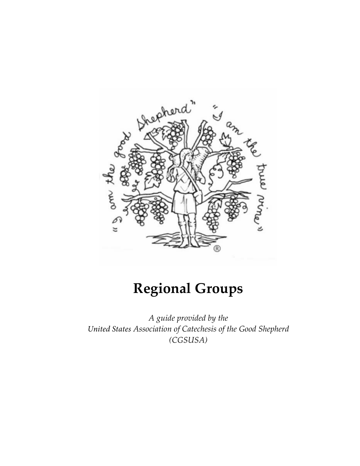

# **Regional Groups**

*A guide provided by the United States Association of Catechesis of the Good Shepherd (CGSUSA)*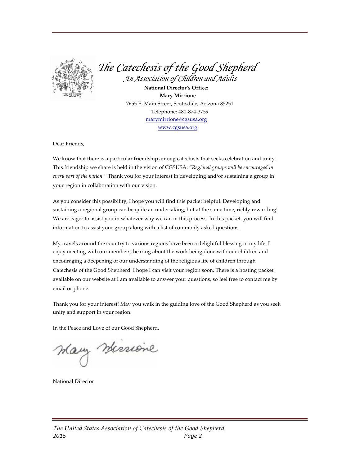

*The Catechesis of the Good Shepherd An Association of Children and Adults*

**National Director's Office: Mary Mirrione** 7655 E. Main Street, Scottsdale, Arizona 85251 Telephone: 480-874-3759 marymirrione@cgsusa.org www.cgsusa.org

Dear Friends,

We know that there is a particular friendship among catechists that seeks celebration and unity. This friendship we share is held in the vision of CGSUSA: "*Regional groups will be encouraged in every part of the nation."* Thank you for your interest in developing and/or sustaining a group in your region in collaboration with our vision.

As you consider this possibility, I hope you will find this packet helpful. Developing and sustaining a regional group can be quite an undertaking, but at the same time, richly rewarding! We are eager to assist you in whatever way we can in this process. In this packet, you will find information to assist your group along with a list of commonly asked questions.

My travels around the country to various regions have been a delightful blessing in my life. I enjoy meeting with our members, hearing about the work being done with our children and encouraging a deepening of our understanding of the religious life of children through Catechesis of the Good Shepherd. I hope I can visit your region soon. There is a hosting packet available on our website at I am available to answer your questions, so feel free to contact me by email or phone.

Thank you for your interest! May you walk in the guiding love of the Good Shepherd as you seek unity and support in your region.

In the Peace and Love of our Good Shepherd,

Mary Messione

National Director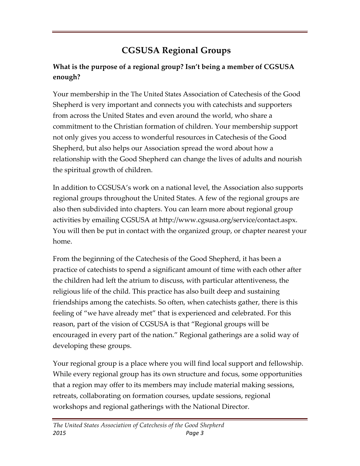## **CGSUSA Regional Groups**

### **What is the purpose of a regional group? Isn't being a member of CGSUSA enough?**

Your membership in the The United States Association of Catechesis of the Good Shepherd is very important and connects you with catechists and supporters from across the United States and even around the world, who share a commitment to the Christian formation of children. Your membership support not only gives you access to wonderful resources in Catechesis of the Good Shepherd, but also helps our Association spread the word about how a relationship with the Good Shepherd can change the lives of adults and nourish the spiritual growth of children.

In addition to CGSUSA's work on a national level, the Association also supports regional groups throughout the United States. A few of the regional groups are also then subdivided into chapters. You can learn more about regional group activities by emailing CGSUSA at http://www.cgsusa.org/service/contact.aspx. You will then be put in contact with the organized group, or chapter nearest your home.

From the beginning of the Catechesis of the Good Shepherd, it has been a practice of catechists to spend a significant amount of time with each other after the children had left the atrium to discuss, with particular attentiveness, the religious life of the child. This practice has also built deep and sustaining friendships among the catechists. So often, when catechists gather, there is this feeling of "we have already met" that is experienced and celebrated. For this reason, part of the vision of CGSUSA is that "Regional groups will be encouraged in every part of the nation." Regional gatherings are a solid way of developing these groups.

Your regional group is a place where you will find local support and fellowship. While every regional group has its own structure and focus, some opportunities that a region may offer to its members may include material making sessions, retreats, collaborating on formation courses, update sessions, regional workshops and regional gatherings with the National Director.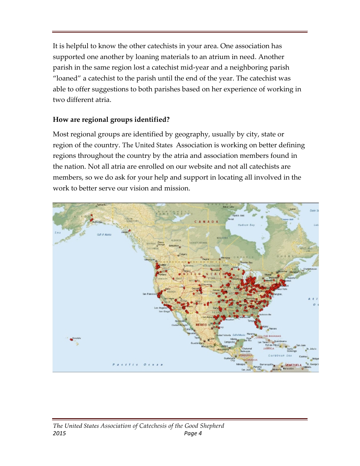It is helpful to know the other catechists in your area. One association has supported one another by loaning materials to an atrium in need. Another parish in the same region lost a catechist mid-year and a neighboring parish "loaned" a catechist to the parish until the end of the year. The catechist was able to offer suggestions to both parishes based on her experience of working in two different atria.

#### **How are regional groups identified?**

Most regional groups are identified by geography, usually by city, state or region of the country. The United States Association is working on better defining regions throughout the country by the atria and association members found in the nation. Not all atria are enrolled on our website and not all catechists are members, so we do ask for your help and support in locating all involved in the work to better serve our vision and mission.

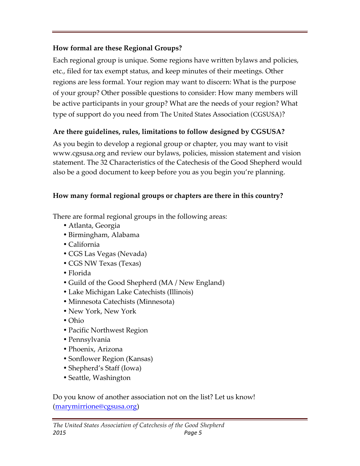#### **How formal are these Regional Groups?**

Each regional group is unique. Some regions have written bylaws and policies, etc., filed for tax exempt status, and keep minutes of their meetings. Other regions are less formal. Your region may want to discern: What is the purpose of your group? Other possible questions to consider: How many members will be active participants in your group? What are the needs of your region? What type of support do you need from The United States Association (CGSUSA)?

### **Are there guidelines, rules, limitations to follow designed by CGSUSA?**

As you begin to develop a regional group or chapter, you may want to visit www.cgsusa.org and review our bylaws, policies, mission statement and vision statement. The 32 Characteristics of the Catechesis of the Good Shepherd would also be a good document to keep before you as you begin you're planning.

### **How many formal regional groups or chapters are there in this country?**

There are formal regional groups in the following areas:

- Atlanta, Georgia
- Birmingham, Alabama
- California
- CGS Las Vegas (Nevada)
- CGS NW Texas (Texas)
- Florida
- Guild of the Good Shepherd (MA / New England)
- Lake Michigan Lake Catechists (Illinois)
- Minnesota Catechists (Minnesota)
- New York, New York
- Ohio
- Pacific Northwest Region
- Pennsylvania
- Phoenix, Arizona
- Sonflower Region (Kansas)
- Shepherd's Staff (Iowa)
- Seattle, Washington

Do you know of another association not on the list? Let us know! (marymirrione@cgsusa.org)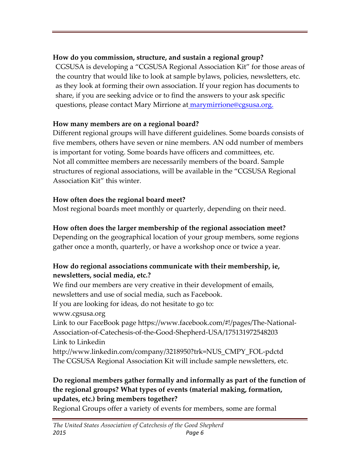#### **How do you commission, structure, and sustain a regional group?**

CGSUSA is developing a "CGSUSA Regional Association Kit" for those areas of the country that would like to look at sample bylaws, policies, newsletters, etc. as they look at forming their own association. If your region has documents to share, if you are seeking advice or to find the answers to your ask specific questions, please contact Mary Mirrione at **marymirrione@cgsusa.org.** 

### **How many members are on a regional board?**

Different regional groups will have different guidelines. Some boards consists of five members, others have seven or nine members. AN odd number of members is important for voting. Some boards have officers and committees, etc. Not all committee members are necessarily members of the board. Sample structures of regional associations, will be available in the "CGSUSA Regional Association Kit" this winter.

## **How often does the regional board meet?**

Most regional boards meet monthly or quarterly, depending on their need.

## **How often does the larger membership of the regional association meet?**

Depending on the geographical location of your group members, some regions gather once a month, quarterly, or have a workshop once or twice a year.

#### **How do regional associations communicate with their membership, ie, newsletters, social media, etc.?**

We find our members are very creative in their development of emails, newsletters and use of social media, such as Facebook.

If you are looking for ideas, do not hesitate to go to:

www.cgsusa.org

Link to our FaceBook page https://www.facebook.com/#!/pages/The-National-Association-of-Catechesis-of-the-Good-Shepherd-USA/175131972548203 Link to Linkedin

http://www.linkedin.com/company/3218950?trk=NUS\_CMPY\_FOL-pdctd The CGSUSA Regional Association Kit will include sample newsletters, etc.

#### **Do regional members gather formally and informally as part of the function of the regional groups? What types of events (material making, formation, updates, etc.) bring members together?**

Regional Groups offer a variety of events for members, some are formal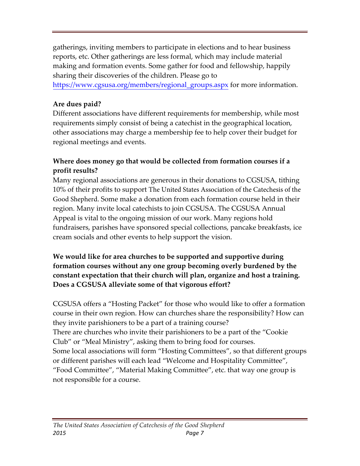gatherings, inviting members to participate in elections and to hear business reports, etc. Other gatherings are less formal, which may include material making and formation events. Some gather for food and fellowship, happily sharing their discoveries of the children. Please go to

https://www.cgsusa.org/members/regional\_groups.aspx for more information.

#### **Are dues paid?**

Different associations have different requirements for membership, while most requirements simply consist of being a catechist in the geographical location, other associations may charge a membership fee to help cover their budget for regional meetings and events.

#### **Where does money go that would be collected from formation courses if a profit results?**

Many regional associations are generous in their donations to CGSUSA, tithing 10% of their profits to support The United States Association of the Catechesis of the Good Shepherd. Some make a donation from each formation course held in their region. Many invite local catechists to join CGSUSA. The CGSUSA Annual Appeal is vital to the ongoing mission of our work. Many regions hold fundraisers, parishes have sponsored special collections, pancake breakfasts, ice cream socials and other events to help support the vision.

#### **We would like for area churches to be supported and supportive during formation courses without any one group becoming overly burdened by the constant expectation that their church will plan, organize and host a training. Does a CGSUSA alleviate some of that vigorous effort?**

CGSUSA offers a "Hosting Packet" for those who would like to offer a formation course in their own region. How can churches share the responsibility? How can they invite parishioners to be a part of a training course? There are churches who invite their parishioners to be a part of the "Cookie Club" or "Meal Ministry", asking them to bring food for courses. Some local associations will form "Hosting Committees", so that different groups or different parishes will each lead "Welcome and Hospitality Committee", "Food Committee", "Material Making Committee", etc. that way one group is not responsible for a course.